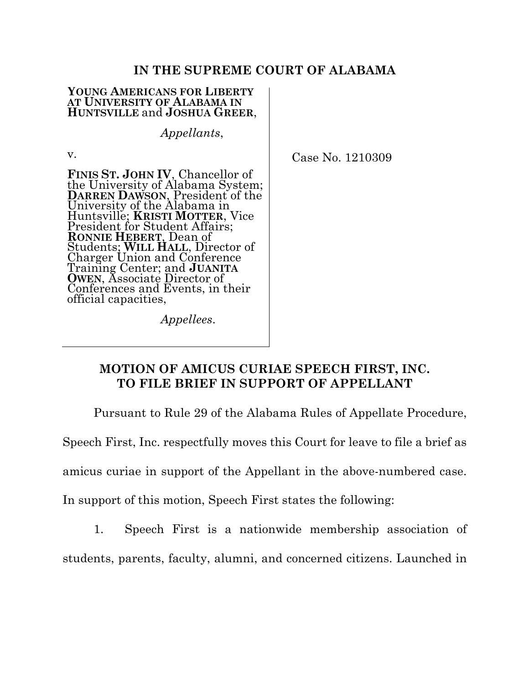## **IN THE SUPREME COURT OF ALABAMA**

#### **YOUNG AMERICANS FOR LIBERTY AT UNIVERSITY OF ALABAMA IN HUNTSVILLE** and **JOSHUA GREER**,

*Appellants*,

v.

**FINIS ST. JOHN IV**, Chancellor of the University of Alabama System; **DARREN DAWSON**, President of the University of the Alabama in Huntsville; **KRISTI MOTTER**, Vice President for Student Affairs; **RONNIE HEBERT**, Dean of Students; **WILL HALL**, Director of Charger Union and Conference Training Center; and **JUANITA OWEN**, Associate Director of Conferences and Events, in their Conferences and Events, in their<br>official capacities,

Case No. 1210309

*Appellees*.

## **MOTION OF AMICUS CURIAE SPEECH FIRST, INC. TO FILE BRIEF IN SUPPORT OF APPELLANT**

Pursuant to Rule 29 of the Alabama Rules of Appellate Procedure,

Speech First, Inc. respectfully moves this Court for leave to file a brief as

amicus curiae in support of the Appellant in the above-numbered case.

In support of this motion, Speech First states the following:

1. Speech First is a nationwide membership association of

students, parents, faculty, alumni, and concerned citizens. Launched in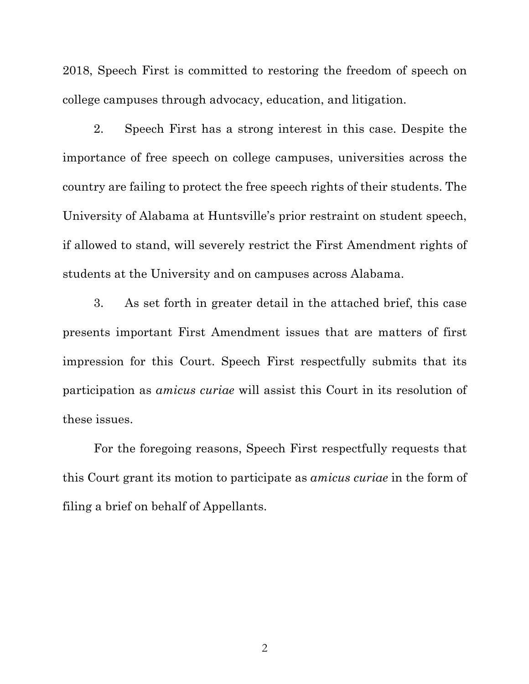2018, Speech First is committed to restoring the freedom of speech on college campuses through advocacy, education, and litigation.

2. Speech First has a strong interest in this case. Despite the importance of free speech on college campuses, universities across the country are failing to protect the free speech rights of their students. The University of Alabama at Huntsville's prior restraint on student speech, if allowed to stand, will severely restrict the First Amendment rights of students at the University and on campuses across Alabama.

3. As set forth in greater detail in the attached brief, this case presents important First Amendment issues that are matters of first impression for this Court. Speech First respectfully submits that its participation as *amicus curiae* will assist this Court in its resolution of these issues.

For the foregoing reasons, Speech First respectfully requests that this Court grant its motion to participate as *amicus curiae* in the form of filing a brief on behalf of Appellants.

2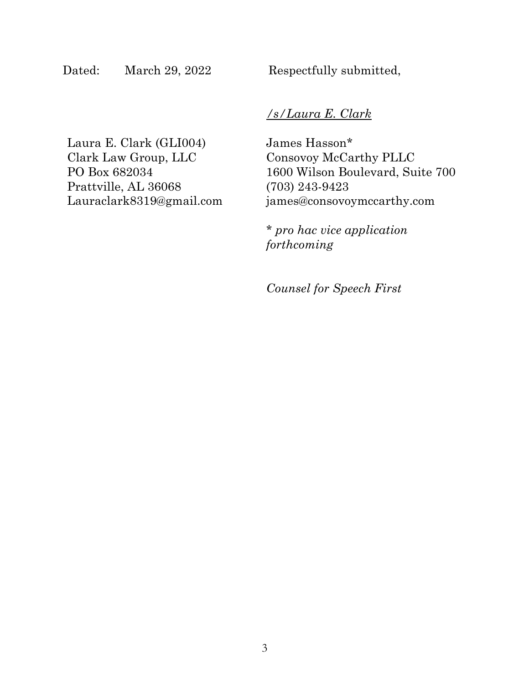Dated: March 29, 2022 Respectfully submitted,

## */s/Laura E. Clark*

Laura E. Clark (GLI004) Clark Law Group, LLC PO Box 682034 Prattville, AL 36068 Lauraclark8319@gmail.com James Hasson\* Consovoy McCarthy PLLC 1600 Wilson Boulevard, Suite 700 (703) 243-9423 james@consovoymccarthy.com

\* *pro hac vice application forthcoming*

*Counsel for Speech First*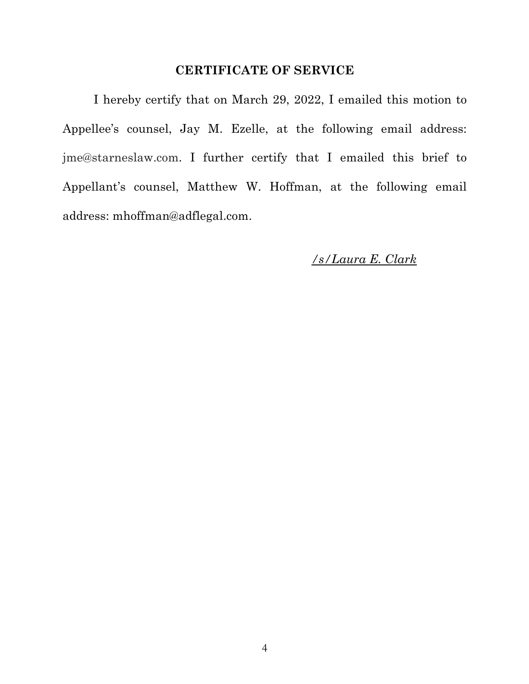## **CERTIFICATE OF SERVICE**

I hereby certify that on March 29, 2022, I emailed this motion to Appellee's counsel, Jay M. Ezelle, at the following email address: jme@starneslaw.com. I further certify that I emailed this brief to Appellant's counsel, Matthew W. Hoffman, at the following email address: mhoffman@adflegal.com.

*/s/Laura E. Clark*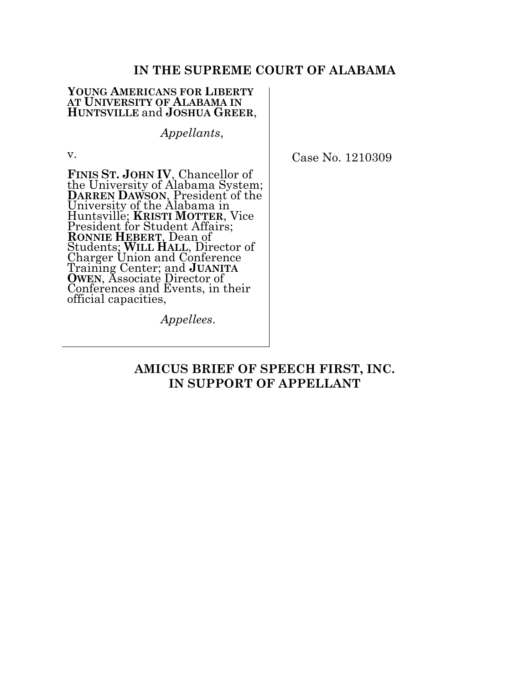### **IN THE SUPREME COURT OF ALABAMA**

#### **YOUNG AMERICANS FOR LIBERTY AT UNIVERSITY OF ALABAMA IN HUNTSVILLE** and **JOSHUA GREER**,

*Appellants*,

v.

**FINIS ST. JOHN IV**, Chancellor of the University of Alabama System; **DARREN DAWSON**, President of the University of the Alabama in Huntsville; **KRISTI MOTTER**, Vice President for Student Affairs; **RONNIE HEBERT**, Dean of Students; **WILL HALL**, Director of Charger Union and Conference Training Center; and **JUANITA OWEN**, Associate Director of Conferences and Events, in their Conferences and Events, in their<br>official capacities,

Case No. 1210309

*Appellees*.

## **AMICUS BRIEF OF SPEECH FIRST, INC. IN SUPPORT OF APPELLANT**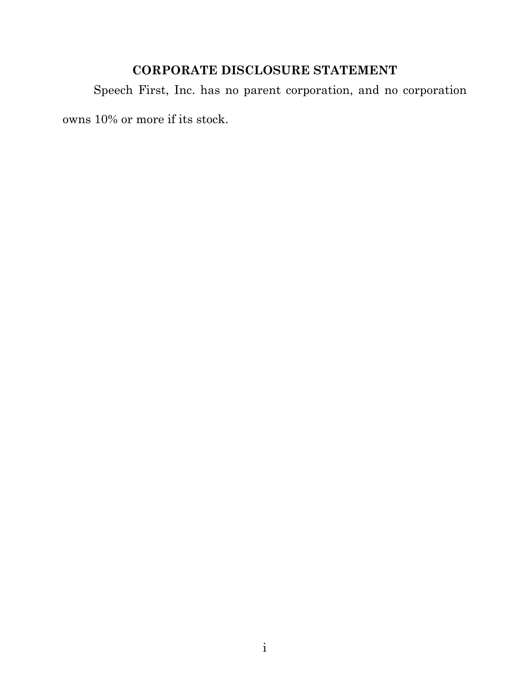# **CORPORATE DISCLOSURE STATEMENT**

Speech First, Inc. has no parent corporation, and no corporation owns 10% or more if its stock.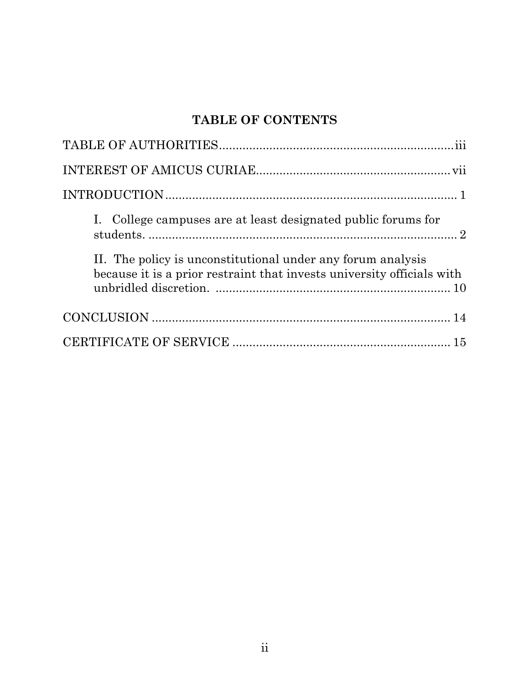# **TABLE OF CONTENTS**

| I. College campuses are at least designated public forums for                                                                         |
|---------------------------------------------------------------------------------------------------------------------------------------|
| II. The policy is unconstitutional under any forum analysis<br>because it is a prior restraint that invests university officials with |
|                                                                                                                                       |
|                                                                                                                                       |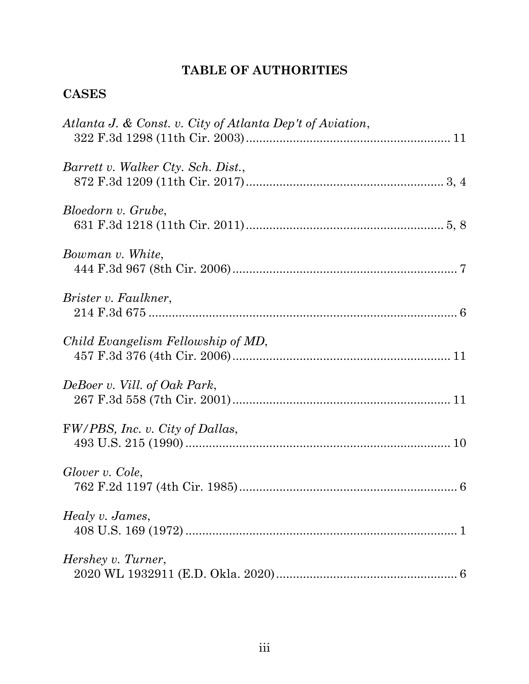# **TABLE OF AUTHORITIES**

# **CASES**

| Atlanta J. & Const. v. City of Atlanta Dep't of Aviation, |
|-----------------------------------------------------------|
| Barrett v. Walker Cty. Sch. Dist.,                        |
| Bloedorn v. Grube,                                        |
| Bowman v. White,                                          |
| Brister v. Faulkner,                                      |
| Child Evangelism Fellowship of MD,                        |
| DeBoer v. Vill. of Oak Park,                              |
| FW/PBS, Inc. v. City of Dallas,                           |
| Glover v. Cole,                                           |
| Healy v. James,                                           |
| Hershey v. Turner,                                        |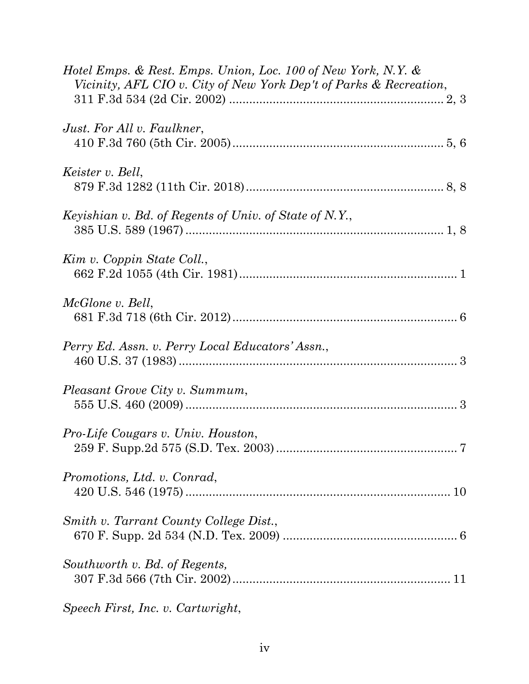| Hotel Emps. & Rest. Emps. Union, Loc. 100 of New York, N.Y. &<br>Vicinity, AFL CIO v. City of New York Dep't of Parks & Recreation, |
|-------------------------------------------------------------------------------------------------------------------------------------|
| Just. For All v. Faulkner,                                                                                                          |
| Keister v. Bell,                                                                                                                    |
| Keyishian v. Bd. of Regents of Univ. of State of N.Y.,                                                                              |
| Kim v. Coppin State Coll.,                                                                                                          |
| McGlone v. Bell,                                                                                                                    |
| Perry Ed. Assn. v. Perry Local Educators' Assn.,                                                                                    |
| Pleasant Grove City v. Summum,                                                                                                      |
| Pro-Life Cougars v. Univ. Houston,                                                                                                  |
| Promotions, Ltd. v. Conrad,                                                                                                         |
| Smith v. Tarrant County College Dist.,                                                                                              |
| Southworth v. Bd. of Regents,                                                                                                       |
| Speech First, Inc. v. Cartwright,                                                                                                   |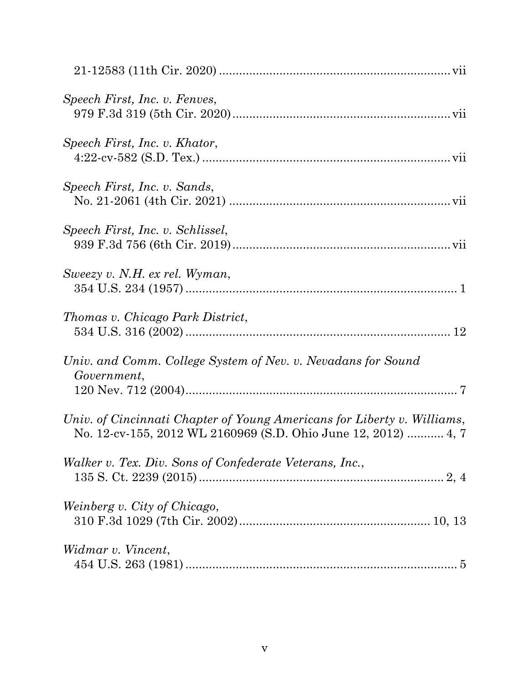| Speech First, Inc. v. Fenves,                                                                                                             |
|-------------------------------------------------------------------------------------------------------------------------------------------|
| Speech First, Inc. v. Khator,                                                                                                             |
| Speech First, Inc. v. Sands,                                                                                                              |
| Speech First, Inc. v. Schlissel,                                                                                                          |
| Sweezy v. N.H. ex rel. Wyman,                                                                                                             |
| Thomas v. Chicago Park District,                                                                                                          |
| Univ. and Comm. College System of Nev. v. Nevadans for Sound<br>Government,                                                               |
| Univ. of Cincinnati Chapter of Young Americans for Liberty v. Williams,<br>No. 12-cv-155, 2012 WL 2160969 (S.D. Ohio June 12, 2012)  4, 7 |
| Walker v. Tex. Div. Sons of Confederate Veterans, Inc.,                                                                                   |
| Weinberg v. City of Chicago,                                                                                                              |
| Widmar v. Vincent,                                                                                                                        |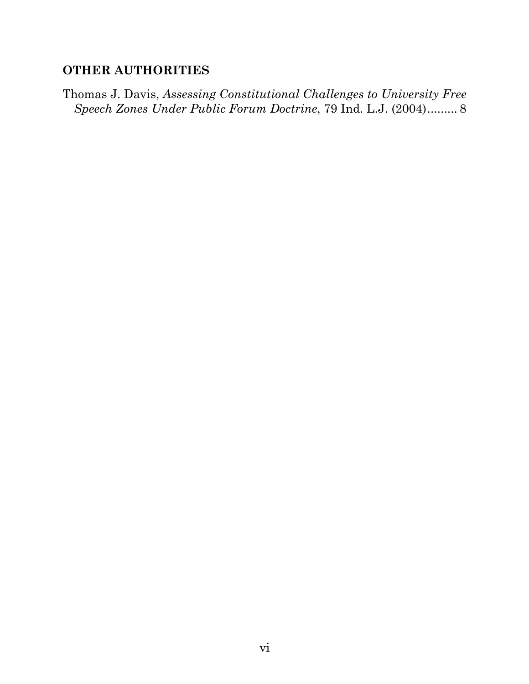## **OTHER AUTHORITIES**

Thomas J. Davis, *Assessing Constitutional Challenges to University Free Speech Zones Under Public Forum Doctrine*, 79 Ind. L.J. (2004)......... 8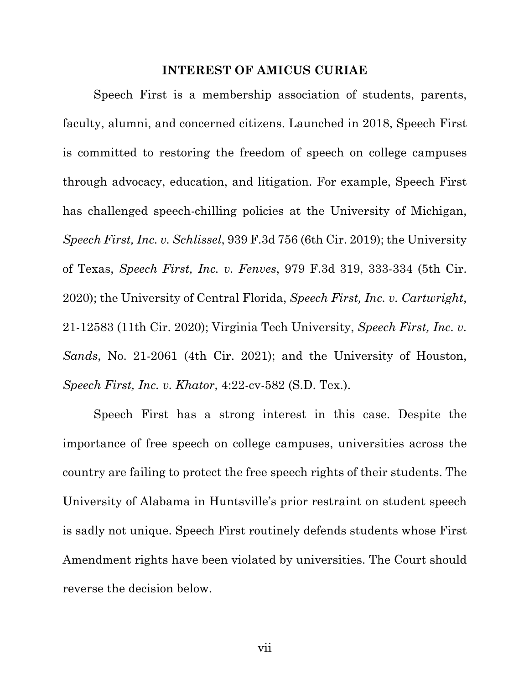### **INTEREST OF AMICUS CURIAE**

Speech First is a membership association of students, parents, faculty, alumni, and concerned citizens. Launched in 2018, Speech First is committed to restoring the freedom of speech on college campuses through advocacy, education, and litigation. For example, Speech First has challenged speech-chilling policies at the University of Michigan, *Speech First, Inc. v. Schlissel*, 939 F.3d 756 (6th Cir. 2019); the University of Texas, *Speech First, Inc. v. Fenves*, 979 F.3d 319, 333-334 (5th Cir. 2020); the University of Central Florida, *Speech First, Inc. v. Cartwright*, 21-12583 (11th Cir. 2020); Virginia Tech University, *Speech First, Inc. v. Sands*, No. 21-2061 (4th Cir. 2021); and the University of Houston, *Speech First, Inc. v. Khator*, 4:22-cv-582 (S.D. Tex.).

Speech First has a strong interest in this case. Despite the importance of free speech on college campuses, universities across the country are failing to protect the free speech rights of their students. The University of Alabama in Huntsville's prior restraint on student speech is sadly not unique. Speech First routinely defends students whose First Amendment rights have been violated by universities. The Court should reverse the decision below.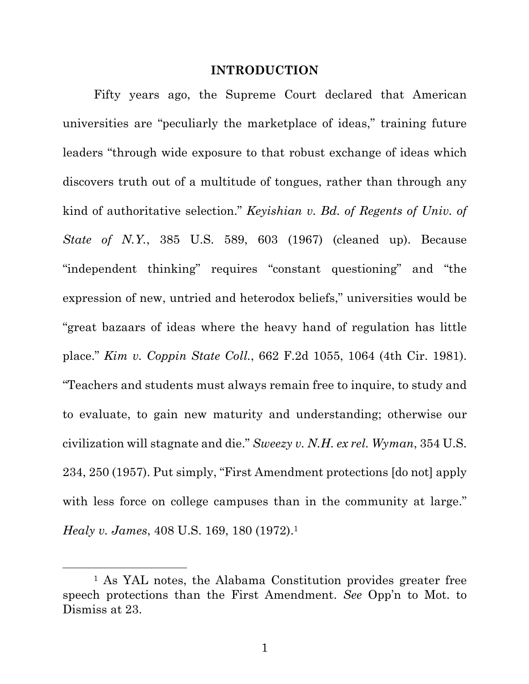### **INTRODUCTION**

Fifty years ago, the Supreme Court declared that American universities are "peculiarly the marketplace of ideas," training future leaders "through wide exposure to that robust exchange of ideas which discovers truth out of a multitude of tongues, rather than through any kind of authoritative selection." *Keyishian v. Bd. of Regents of Univ. of State of N.Y.*, 385 U.S. 589, 603 (1967) (cleaned up). Because "independent thinking" requires "constant questioning" and "the expression of new, untried and heterodox beliefs," universities would be "great bazaars of ideas where the heavy hand of regulation has little place." *Kim v. Coppin State Coll.*, 662 F.2d 1055, 1064 (4th Cir. 1981). "Teachers and students must always remain free to inquire, to study and to evaluate, to gain new maturity and understanding; otherwise our civilization will stagnate and die." *Sweezy v. N.H. ex rel. Wyman*, 354 U.S. 234, 250 (1957). Put simply, "First Amendment protections [do not] apply with less force on college campuses than in the community at large." *Healy v. James*, 408 U.S. 169, 180 (1972).1

<sup>1</sup> As YAL notes, the Alabama Constitution provides greater free speech protections than the First Amendment. *See* Opp'n to Mot. to Dismiss at 23.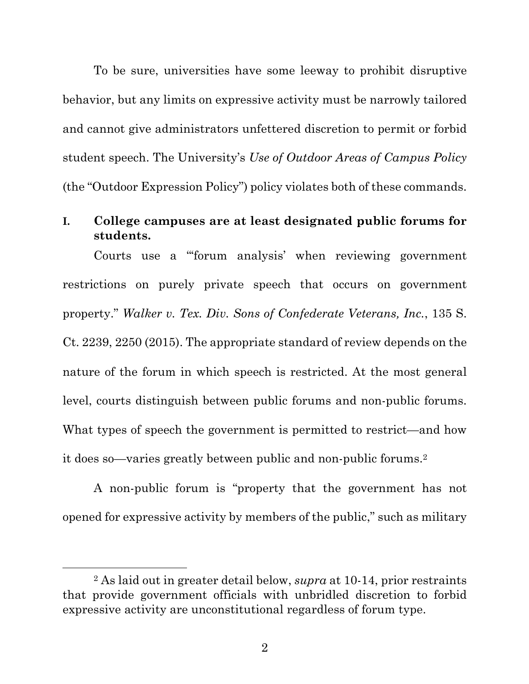To be sure, universities have some leeway to prohibit disruptive behavior, but any limits on expressive activity must be narrowly tailored and cannot give administrators unfettered discretion to permit or forbid student speech. The University's *Use of Outdoor Areas of Campus Policy*  (the "Outdoor Expression Policy") policy violates both of these commands.

## **I. College campuses are at least designated public forums for students.**

Courts use a "'forum analysis' when reviewing government restrictions on purely private speech that occurs on government property." *Walker v. Tex. Div. Sons of Confederate Veterans, Inc.*, 135 S. Ct. 2239, 2250 (2015). The appropriate standard of review depends on the nature of the forum in which speech is restricted. At the most general level, courts distinguish between public forums and non-public forums. What types of speech the government is permitted to restrict—and how it does so—varies greatly between public and non-public forums.2

A non-public forum is "property that the government has not opened for expressive activity by members of the public," such as military

<sup>2</sup> As laid out in greater detail below, *supra* at 10-14, prior restraints that provide government officials with unbridled discretion to forbid expressive activity are unconstitutional regardless of forum type.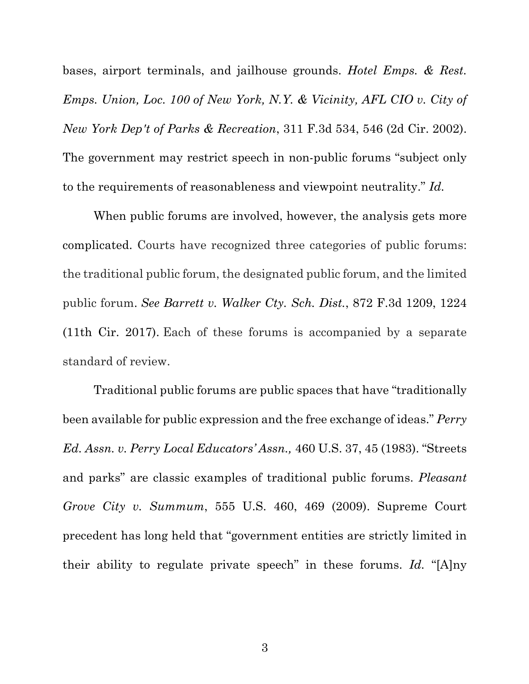bases, airport terminals, and jailhouse grounds. *Hotel Emps. & Rest. Emps. Union, Loc. 100 of New York, N.Y. & Vicinity, AFL CIO v. City of New York Dep't of Parks & Recreation*, 311 F.3d 534, 546 (2d Cir. 2002). The government may restrict speech in non-public forums "subject only to the requirements of reasonableness and viewpoint neutrality." *Id.*

When public forums are involved, however, the analysis gets more complicated. Courts have recognized three categories of public forums: the traditional public forum, the designated public forum, and the limited public forum. *See Barrett v. Walker Cty. Sch. Dist.*, 872 F.3d 1209, 1224 (11th Cir. 2017). Each of these forums is accompanied by a separate standard of review.

Traditional public forums are public spaces that have "traditionally been available for public expression and the free exchange of ideas." *Perry Ed. Assn. v. Perry Local Educators' Assn.,* 460 U.S. 37, 45 (1983). "Streets and parks" are classic examples of traditional public forums. *Pleasant Grove City v. Summum*, 555 U.S. 460, 469 (2009). Supreme Court precedent has long held that "government entities are strictly limited in their ability to regulate private speech" in these forums. *Id.* "[A]ny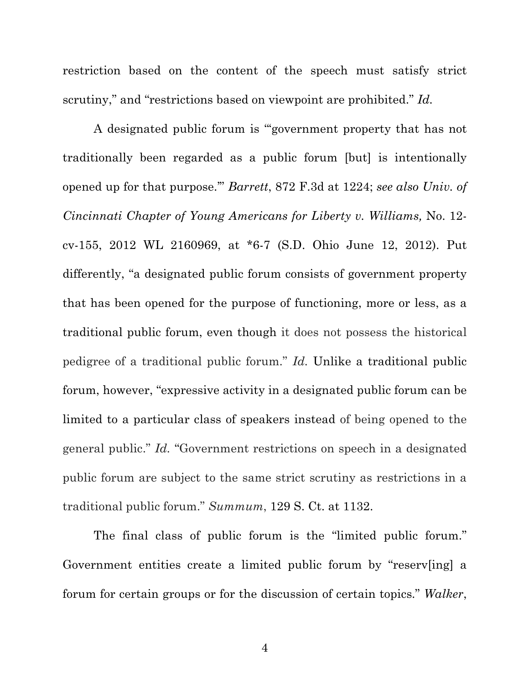restriction based on the content of the speech must satisfy strict scrutiny," and "restrictions based on viewpoint are prohibited." *Id.*

A designated public forum is "'government property that has not traditionally been regarded as a public forum [but] is intentionally opened up for that purpose.'" *Barrett*, 872 F.3d at 1224; *see also Univ. of Cincinnati Chapter of Young Americans for Liberty v. Williams,* No. 12 cv-155, 2012 WL 2160969, at \*6-7 (S.D. Ohio June 12, 2012). Put differently, "a designated public forum consists of government property that has been opened for the purpose of functioning, more or less, as a traditional public forum, even though it does not possess the historical pedigree of a traditional public forum." *Id.* Unlike a traditional public forum, however, "expressive activity in a designated public forum can be limited to a particular class of speakers instead of being opened to the general public." *Id.* "Government restrictions on speech in a designated public forum are subject to the same strict scrutiny as restrictions in a traditional public forum." *Summum*, 129 S. Ct. at 1132.

The final class of public forum is the "limited public forum." Government entities create a limited public forum by "reserv[ing] a forum for certain groups or for the discussion of certain topics." *Walker*,

4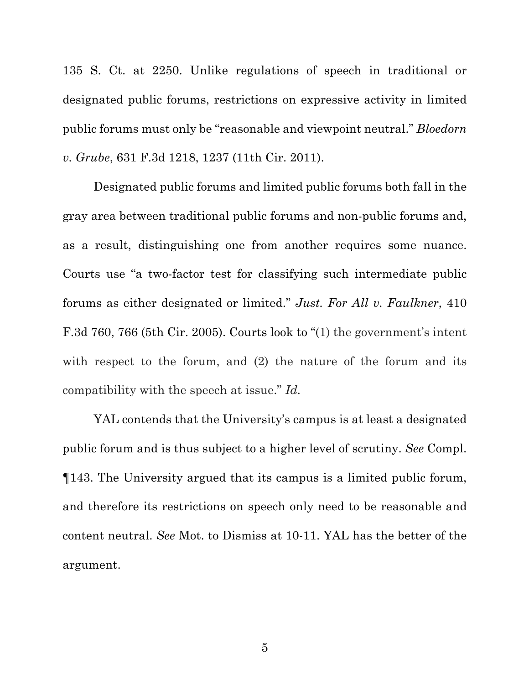135 S. Ct. at 2250. Unlike regulations of speech in traditional or designated public forums, restrictions on expressive activity in limited public forums must only be "reasonable and viewpoint neutral." *Bloedorn v. Grube*, 631 F.3d 1218, 1237 (11th Cir. 2011).

Designated public forums and limited public forums both fall in the gray area between traditional public forums and non-public forums and, as a result, distinguishing one from another requires some nuance. Courts use "a two-factor test for classifying such intermediate public forums as either designated or limited." *Just. For All v. Faulkner*, 410 F.3d 760, 766 (5th Cir. 2005). Courts look to "(1) the government's intent with respect to the forum, and (2) the nature of the forum and its compatibility with the speech at issue." *Id.*

YAL contends that the University's campus is at least a designated public forum and is thus subject to a higher level of scrutiny. *See* Compl. ¶143. The University argued that its campus is a limited public forum, and therefore its restrictions on speech only need to be reasonable and content neutral. *See* Mot. to Dismiss at 10-11. YAL has the better of the argument.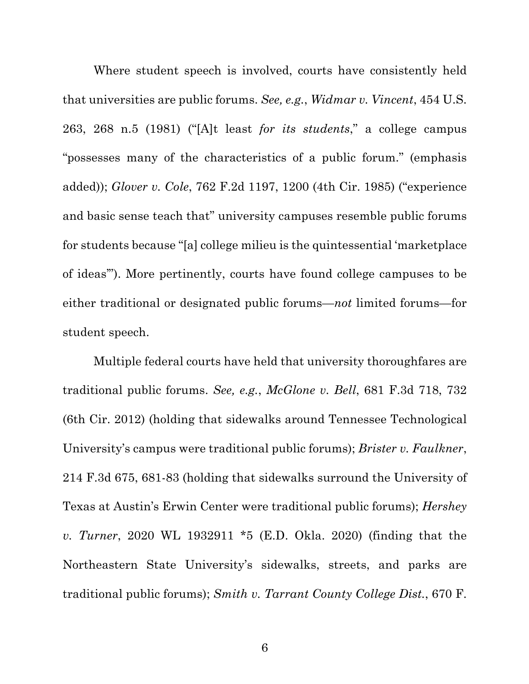Where student speech is involved, courts have consistently held that universities are public forums. *See, e.g.*, *Widmar v. Vincent*, 454 U.S. 263, 268 n.5 (1981) ("[A]t least *for its students*," a college campus "possesses many of the characteristics of a public forum." (emphasis added)); *Glover v. Cole*, 762 F.2d 1197, 1200 (4th Cir. 1985) ("experience and basic sense teach that" university campuses resemble public forums for students because "[a] college milieu is the quintessential 'marketplace of ideas'"). More pertinently, courts have found college campuses to be either traditional or designated public forums—*not* limited forums—for student speech.

Multiple federal courts have held that university thoroughfares are traditional public forums. *See, e.g.*, *McGlone v. Bell*, 681 F.3d 718, 732 (6th Cir. 2012) (holding that sidewalks around Tennessee Technological University's campus were traditional public forums); *Brister v. Faulkner*, 214 F.3d 675, 681-83 (holding that sidewalks surround the University of Texas at Austin's Erwin Center were traditional public forums); *Hershey v. Turner*, 2020 WL 1932911 \*5 (E.D. Okla. 2020) (finding that the Northeastern State University's sidewalks, streets, and parks are traditional public forums); *Smith v. Tarrant County College Dist.*, 670 F.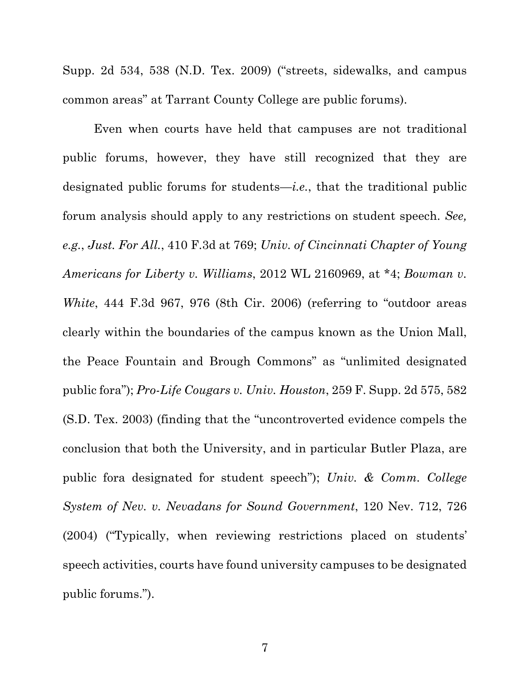Supp. 2d 534, 538 (N.D. Tex. 2009) ("streets, sidewalks, and campus common areas" at Tarrant County College are public forums).

Even when courts have held that campuses are not traditional public forums, however, they have still recognized that they are designated public forums for students—*i.e.*, that the traditional public forum analysis should apply to any restrictions on student speech. *See, e.g.*, *Just. For All.*, 410 F.3d at 769; *Univ. of Cincinnati Chapter of Young Americans for Liberty v. Williams*, 2012 WL 2160969, at \*4; *Bowman v. White*, 444 F.3d 967, 976 (8th Cir. 2006) (referring to "outdoor areas clearly within the boundaries of the campus known as the Union Mall, the Peace Fountain and Brough Commons" as "unlimited designated public fora"); *Pro-Life Cougars v. Univ. Houston*, 259 F. Supp. 2d 575, 582 (S.D. Tex. 2003) (finding that the "uncontroverted evidence compels the conclusion that both the University, and in particular Butler Plaza, are public fora designated for student speech"); *Univ. & Comm. College System of Nev. v. Nevadans for Sound Government*, 120 Nev. 712, 726 (2004) ("Typically, when reviewing restrictions placed on students' speech activities, courts have found university campuses to be designated public forums.").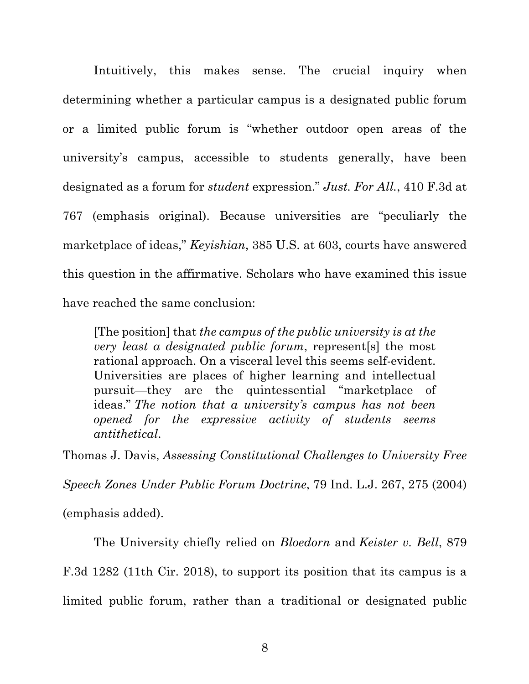Intuitively, this makes sense. The crucial inquiry when determining whether a particular campus is a designated public forum or a limited public forum is "whether outdoor open areas of the university's campus, accessible to students generally, have been designated as a forum for *student* expression." *Just. For All.*, 410 F.3d at 767 (emphasis original). Because universities are "peculiarly the marketplace of ideas," *Keyishian*, 385 U.S. at 603, courts have answered this question in the affirmative. Scholars who have examined this issue have reached the same conclusion:

[The position] that *the campus of the public university is at the very least a designated public forum*, represent[s] the most rational approach. On a visceral level this seems self-evident. Universities are places of higher learning and intellectual pursuit—they are the quintessential "marketplace of ideas." *The notion that a university's campus has not been opened for the expressive activity of students seems antithetical*.

Thomas J. Davis, *Assessing Constitutional Challenges to University Free* 

*Speech Zones Under Public Forum Doctrine*, 79 Ind. L.J. 267, 275 (2004)

(emphasis added).

The University chiefly relied on *Bloedorn* and *Keister v. Bell*, 879

F.3d 1282 (11th Cir. 2018), to support its position that its campus is a

limited public forum, rather than a traditional or designated public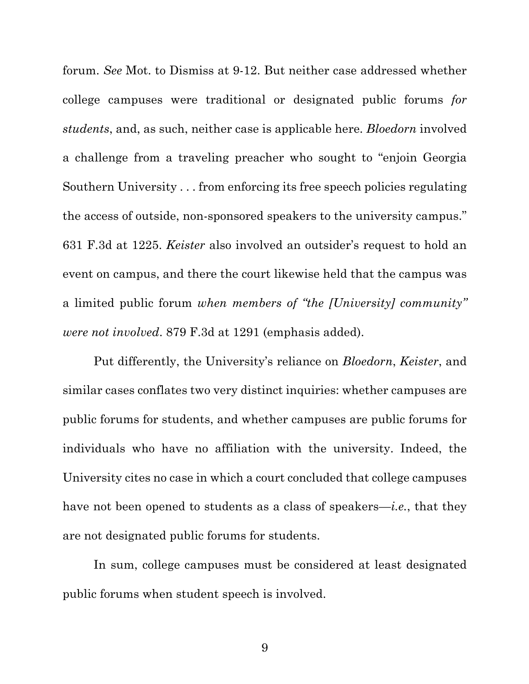forum. *See* Mot. to Dismiss at 9-12. But neither case addressed whether college campuses were traditional or designated public forums *for students*, and, as such, neither case is applicable here. *Bloedorn* involved a challenge from a traveling preacher who sought to "enjoin Georgia Southern University . . . from enforcing its free speech policies regulating the access of outside, non-sponsored speakers to the university campus." 631 F.3d at 1225. *Keister* also involved an outsider's request to hold an event on campus, and there the court likewise held that the campus was a limited public forum *when members of "the [University] community" were not involved*. 879 F.3d at 1291 (emphasis added).

Put differently, the University's reliance on *Bloedorn*, *Keister*, and similar cases conflates two very distinct inquiries: whether campuses are public forums for students, and whether campuses are public forums for individuals who have no affiliation with the university. Indeed, the University cites no case in which a court concluded that college campuses have not been opened to students as a class of speakers—*i.e.*, that they are not designated public forums for students.

In sum, college campuses must be considered at least designated public forums when student speech is involved.

9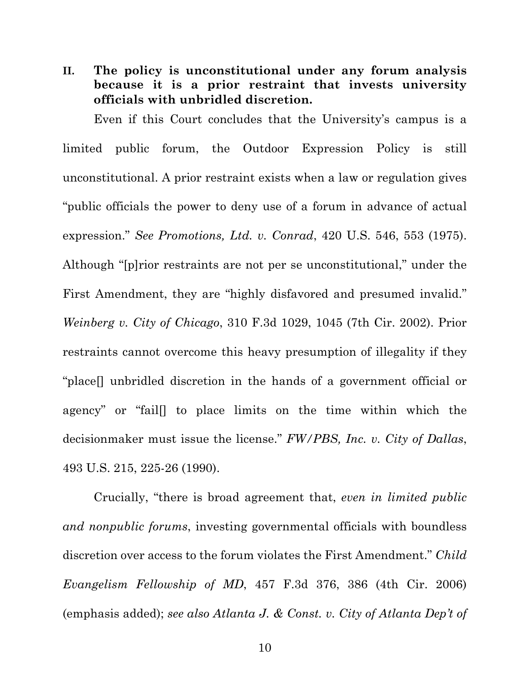**II. The policy is unconstitutional under any forum analysis because it is a prior restraint that invests university officials with unbridled discretion.**

Even if this Court concludes that the University's campus is a limited public forum, the Outdoor Expression Policy is still unconstitutional. A prior restraint exists when a law or regulation gives "public officials the power to deny use of a forum in advance of actual expression." *See Promotions, Ltd. v. Conrad*, 420 U.S. 546, 553 (1975). Although "[p]rior restraints are not per se unconstitutional," under the First Amendment, they are "highly disfavored and presumed invalid." *Weinberg v. City of Chicago*, 310 F.3d 1029, 1045 (7th Cir. 2002). Prior restraints cannot overcome this heavy presumption of illegality if they "place[] unbridled discretion in the hands of a government official or agency" or "fail[] to place limits on the time within which the decisionmaker must issue the license." *FW/PBS, Inc. v. City of Dallas*, 493 U.S. 215, 225-26 (1990).

Crucially, "there is broad agreement that, *even in limited public and nonpublic forums*, investing governmental officials with boundless discretion over access to the forum violates the First Amendment." *Child Evangelism Fellowship of MD*, 457 F.3d 376, 386 (4th Cir. 2006) (emphasis added); *see also Atlanta J. & Const. v. City of Atlanta Dep't of*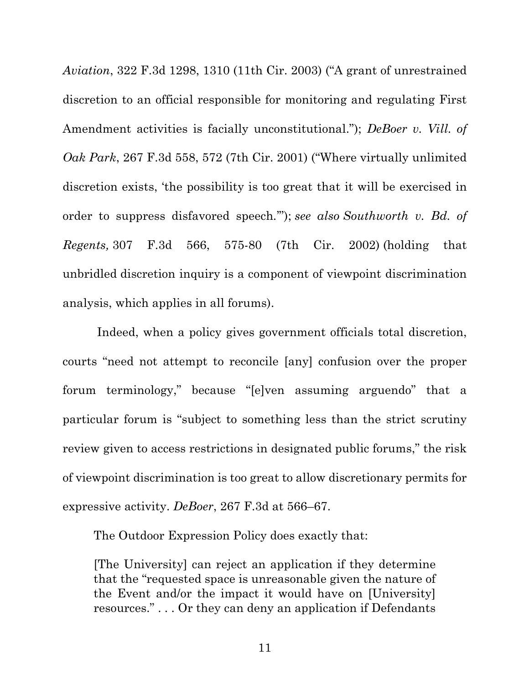*Aviation*, 322 F.3d 1298, 1310 (11th Cir. 2003) ("A grant of unrestrained discretion to an official responsible for monitoring and regulating First Amendment activities is facially unconstitutional."); *DeBoer v. Vill. of Oak Park*, 267 F.3d 558, 572 (7th Cir. 2001) ("Where virtually unlimited discretion exists, 'the possibility is too great that it will be exercised in order to suppress disfavored speech*.*'"); *see also Southworth v. Bd. of Regents,* 307 F.3d 566, 575-80 (7th Cir. 2002) (holding that unbridled discretion inquiry is a component of viewpoint discrimination analysis, which applies in all forums).

Indeed, when a policy gives government officials total discretion, courts "need not attempt to reconcile [any] confusion over the proper forum terminology," because "[e]ven assuming arguendo" that a particular forum is "subject to something less than the strict scrutiny review given to access restrictions in designated public forums," the risk of viewpoint discrimination is too great to allow discretionary permits for expressive activity. *DeBoer*, 267 F.3d at 566–67.

The Outdoor Expression Policy does exactly that:

[The University] can reject an application if they determine that the "requested space is unreasonable given the nature of the Event and/or the impact it would have on [University] resources." . . . Or they can deny an application if Defendants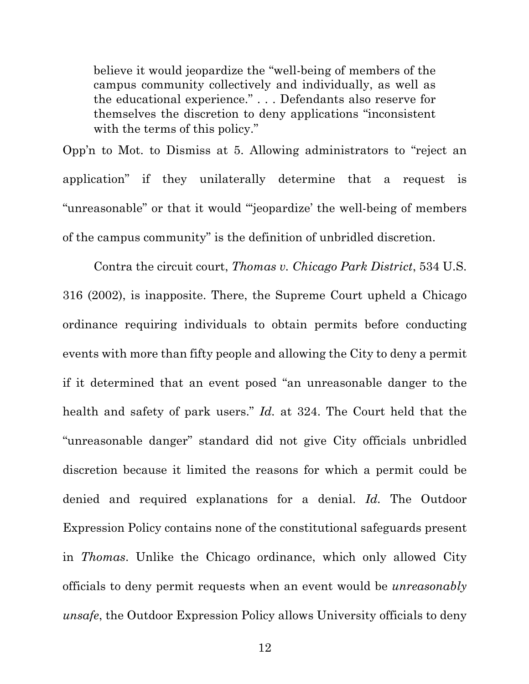believe it would jeopardize the "well-being of members of the campus community collectively and individually, as well as the educational experience." . . . Defendants also reserve for themselves the discretion to deny applications "inconsistent with the terms of this policy."

Opp'n to Mot. to Dismiss at 5. Allowing administrators to "reject an application" if they unilaterally determine that a request is "unreasonable" or that it would "'jeopardize' the well-being of members of the campus community" is the definition of unbridled discretion.

Contra the circuit court, *Thomas v. Chicago Park District*, 534 U.S. 316 (2002), is inapposite. There, the Supreme Court upheld a Chicago ordinance requiring individuals to obtain permits before conducting events with more than fifty people and allowing the City to deny a permit if it determined that an event posed "an unreasonable danger to the health and safety of park users." *Id.* at 324. The Court held that the "unreasonable danger" standard did not give City officials unbridled discretion because it limited the reasons for which a permit could be denied and required explanations for a denial. *Id.* The Outdoor Expression Policy contains none of the constitutional safeguards present in *Thomas*. Unlike the Chicago ordinance, which only allowed City officials to deny permit requests when an event would be *unreasonably unsafe*, the Outdoor Expression Policy allows University officials to deny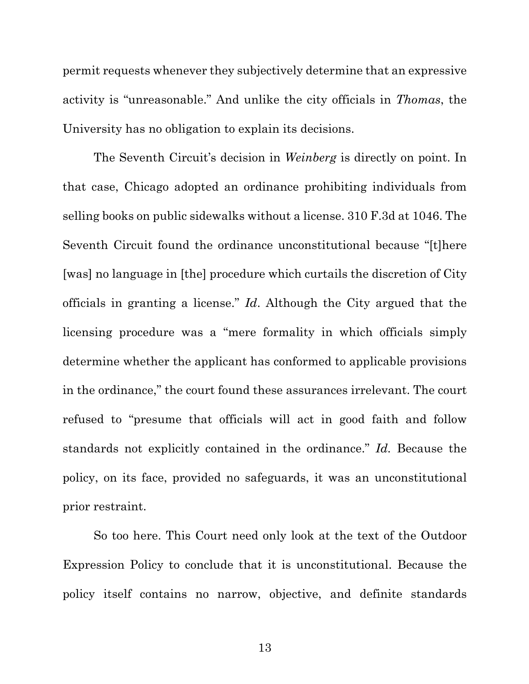permit requests whenever they subjectively determine that an expressive activity is "unreasonable." And unlike the city officials in *Thomas*, the University has no obligation to explain its decisions.

The Seventh Circuit's decision in *Weinberg* is directly on point. In that case, Chicago adopted an ordinance prohibiting individuals from selling books on public sidewalks without a license. 310 F.3d at 1046. The Seventh Circuit found the ordinance unconstitutional because "[t]here [was] no language in [the] procedure which curtails the discretion of City officials in granting a license." *Id*. Although the City argued that the licensing procedure was a "mere formality in which officials simply determine whether the applicant has conformed to applicable provisions in the ordinance," the court found these assurances irrelevant. The court refused to "presume that officials will act in good faith and follow standards not explicitly contained in the ordinance." *Id.* Because the policy, on its face, provided no safeguards, it was an unconstitutional prior restraint.

So too here. This Court need only look at the text of the Outdoor Expression Policy to conclude that it is unconstitutional. Because the policy itself contains no narrow, objective, and definite standards

13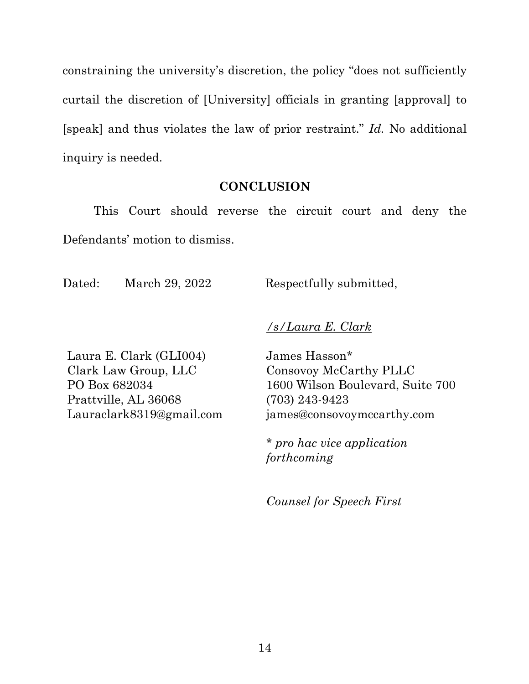constraining the university's discretion, the policy "does not sufficiently curtail the discretion of [University] officials in granting [approval] to [speak] and thus violates the law of prior restraint." *Id.* No additional inquiry is needed.

## **CONCLUSION**

This Court should reverse the circuit court and deny the Defendants' motion to dismiss.

Dated: March 29, 2022 Respectfully submitted,

*/s/Laura E. Clark*

Laura E. Clark (GLI004) Clark Law Group, LLC PO Box 682034 Prattville, AL 36068 Lauraclark8319@gmail.com James Hasson\* Consovoy McCarthy PLLC 1600 Wilson Boulevard, Suite 700 (703) 243-9423 james@consovoymccarthy.com

\* *pro hac vice application forthcoming*

*Counsel for Speech First*